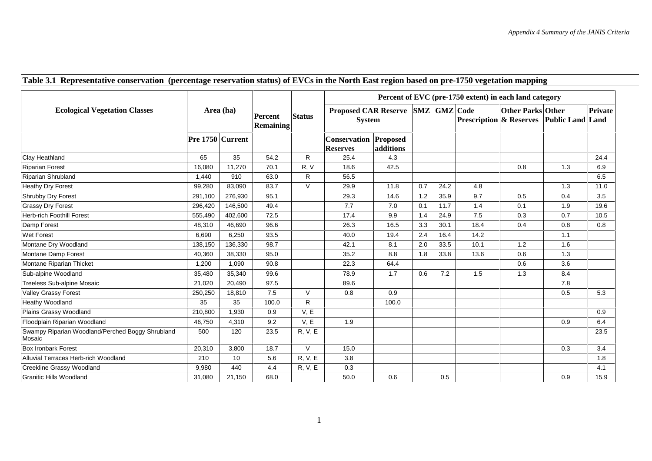|  |  |  | Table 3.1 Representative conservation (percentage reservation status) of EVCs in the North East region based on pre-1750 vegetation mapping |
|--|--|--|---------------------------------------------------------------------------------------------------------------------------------------------|
|  |  |  |                                                                                                                                             |

|                                                            | Area (ha)        |         | Percent<br><b>Remaining</b> |                | Percent of EVC (pre-1750 extent) in each land category |           |     |                     |                                    |                          |                         |         |  |
|------------------------------------------------------------|------------------|---------|-----------------------------|----------------|--------------------------------------------------------|-----------|-----|---------------------|------------------------------------|--------------------------|-------------------------|---------|--|
| <b>Ecological Vegetation Classes</b>                       |                  |         |                             | <b>Status</b>  | <b>Proposed CAR Reserve</b><br><b>System</b>           |           |     | <b>SMZ</b> GMZ Code | <b>Prescription &amp; Reserves</b> | <b>Other Parks Other</b> | <b>Public Land Land</b> | Private |  |
|                                                            | Pre 1750 Current |         |                             |                | Conservation Proposed<br><b>Reserves</b>               | additions |     |                     |                                    |                          |                         |         |  |
| Clay Heathland                                             | 65               | 35      | 54.2                        | R              | 25.4                                                   | 4.3       |     |                     |                                    |                          |                         | 24.4    |  |
| <b>Riparian Forest</b>                                     | 16,080           | 11,270  | 70.1                        | R, V           | 18.6                                                   | 42.5      |     |                     |                                    | 0.8                      | 1.3                     | 6.9     |  |
| <b>Riparian Shrubland</b>                                  | 1,440            | 910     | 63.0                        | R              | 56.5                                                   |           |     |                     |                                    |                          |                         | 6.5     |  |
| <b>Heathy Dry Forest</b>                                   | 99,280           | 83,090  | 83.7                        | $\vee$         | 29.9                                                   | 11.8      | 0.7 | 24.2                | 4.8                                |                          | 1.3                     | 11.0    |  |
| Shrubby Dry Forest                                         | 291,100          | 276,930 | 95.1                        |                | 29.3                                                   | 14.6      | 1.2 | 35.9                | 9.7                                | 0.5                      | 0.4                     | 3.5     |  |
| <b>Grassy Dry Forest</b>                                   | 296,420          | 146,500 | 49.4                        |                | 7.7                                                    | 7.0       | 0.1 | 11.7                | 1.4                                | 0.1                      | 1.9                     | 19.6    |  |
| <b>Herb-rich Foothill Forest</b>                           | 555,490          | 402,600 | 72.5                        |                | 17.4                                                   | 9.9       | 1.4 | 24.9                | 7.5                                | 0.3                      | 0.7                     | 10.5    |  |
| Damp Forest                                                | 48,310           | 46,690  | 96.6                        |                | 26.3                                                   | 16.5      | 3.3 | 30.1                | 18.4                               | 0.4                      | 0.8                     | 0.8     |  |
| <b>Wet Forest</b>                                          | 6,690            | 6,250   | 93.5                        |                | 40.0                                                   | 19.4      | 2.4 | 16.4                | 14.2                               |                          | 1.1                     |         |  |
| Montane Dry Woodland                                       | 138,150          | 136,330 | 98.7                        |                | 42.1                                                   | 8.1       | 2.0 | 33.5                | 10.1                               | 1.2                      | 1.6                     |         |  |
| Montane Damp Forest                                        | 40,360           | 38,330  | 95.0                        |                | 35.2                                                   | 8.8       | 1.8 | 33.8                | 13.6                               | 0.6                      | 1.3                     |         |  |
| Montane Riparian Thicket                                   | 1,200            | 1.090   | 90.8                        |                | 22.3                                                   | 64.4      |     |                     |                                    | 0.6                      | 3.6                     |         |  |
| Sub-alpine Woodland                                        | 35,480           | 35,340  | 99.6                        |                | 78.9                                                   | 1.7       | 0.6 | 7.2                 | 1.5                                | 1.3                      | 8.4                     |         |  |
| Treeless Sub-alpine Mosaic                                 | 21,020           | 20,490  | 97.5                        |                | 89.6                                                   |           |     |                     |                                    |                          | 7.8                     |         |  |
| Valley Grassy Forest                                       | 250,250          | 18,810  | 7.5                         | $\vee$         | 0.8                                                    | 0.9       |     |                     |                                    |                          | 0.5                     | 5.3     |  |
| Heathy Woodland                                            | 35               | 35      | 100.0                       | R              |                                                        | 100.0     |     |                     |                                    |                          |                         |         |  |
| Plains Grassy Woodland                                     | 210,800          | 1.930   | 0.9                         | V, E           |                                                        |           |     |                     |                                    |                          |                         | 0.9     |  |
| Floodplain Riparian Woodland                               | 46,750           | 4,310   | 9.2                         | V, E           | 1.9                                                    |           |     |                     |                                    |                          | 0.9                     | 6.4     |  |
| Swampy Riparian Woodland/Perched Boggy Shrubland<br>Mosaic | 500              | 120     | 23.5                        | <b>R, V, E</b> |                                                        |           |     |                     |                                    |                          |                         | 23.5    |  |
| <b>Box Ironbark Forest</b>                                 | 20,310           | 3,800   | 18.7                        | $\vee$         | 15.0                                                   |           |     |                     |                                    |                          | 0.3                     | 3.4     |  |
| Alluvial Terraces Herb-rich Woodland                       | 210              | 10      | 5.6                         | R, V, E        | 3.8                                                    |           |     |                     |                                    |                          |                         | 1.8     |  |
| Creekline Grassy Woodland                                  | 9,980            | 440     | 4.4                         | R, V, E        | 0.3                                                    |           |     |                     |                                    |                          |                         | 4.1     |  |
| <b>Granitic Hills Woodland</b>                             | 31,080           | 21,150  | 68.0                        |                | 50.0                                                   | 0.6       |     | 0.5                 |                                    |                          | 0.9                     | 15.9    |  |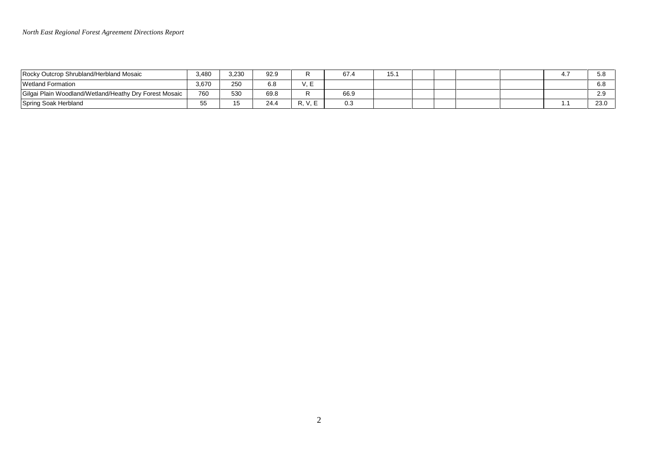## *North East Regional Forest Agreement Directions Report*

| Rocky Outcrop Shrubland/Herbland Mosaic                | 3,480 | 3,230 | 92.9 |     |      | 15<br>، ب، |  |  | ີ<br>ు.ం        |
|--------------------------------------------------------|-------|-------|------|-----|------|------------|--|--|-----------------|
| <b>Wetland Formation</b>                               | 3,670 | 250   | 6.8  | . . |      |            |  |  | <b>െ</b><br>0.O |
| Gilgai Plain Woodland/Wetland/Heathy Dry Forest Mosaic | 760   | 530   | 69.8 |     | 66.9 |            |  |  | റ റ<br>$\sim$   |
| Spring Soak Herbland                                   |       |       | 24.4 | к.  | ∪.∪  |            |  |  | 23.0            |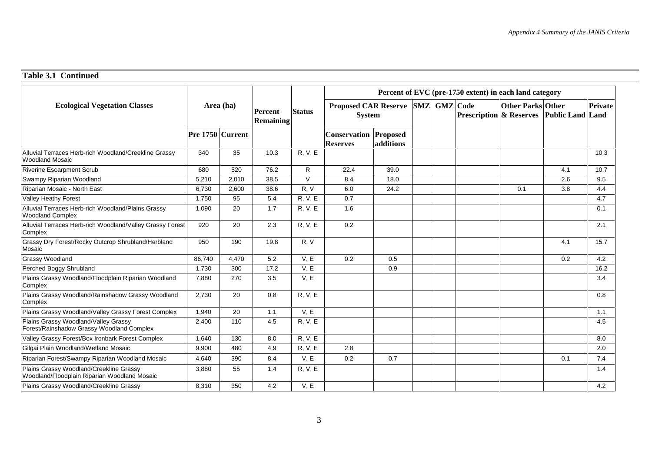## **Table 3.1 Continued**

|                                                                                         | Area (ha)        |       | <b>Percent</b><br><b>Remaining</b> |               | Percent of EVC (pre-1750 extent) in each land category |           |  |                     |                                    |                          |                         |         |  |  |
|-----------------------------------------------------------------------------------------|------------------|-------|------------------------------------|---------------|--------------------------------------------------------|-----------|--|---------------------|------------------------------------|--------------------------|-------------------------|---------|--|--|
| <b>Ecological Vegetation Classes</b>                                                    |                  |       |                                    | <b>Status</b> | <b>Proposed CAR Reserve</b><br><b>System</b>           |           |  | <b>SMZ</b> GMZ Code | <b>Prescription &amp; Reserves</b> | <b>Other Parks Other</b> | <b>Public Land Land</b> | Private |  |  |
|                                                                                         | Pre 1750 Current |       |                                    |               | <b>Conservation Proposed</b><br><b>Reserves</b>        | additions |  |                     |                                    |                          |                         |         |  |  |
| Alluvial Terraces Herb-rich Woodland/Creekline Grassy<br><b>Woodland Mosaic</b>         | 340              | 35    | 10.3                               | R, V, E       |                                                        |           |  |                     |                                    |                          |                         | 10.3    |  |  |
| <b>Riverine Escarpment Scrub</b>                                                        | 680              | 520   | 76.2                               | R             | 22.4                                                   | 39.0      |  |                     |                                    |                          | 4.1                     | 10.7    |  |  |
| Swampy Riparian Woodland                                                                | 5,210            | 2,010 | 38.5                               | $\vee$        | 8.4                                                    | 18.0      |  |                     |                                    |                          | 2.6                     | 9.5     |  |  |
| Riparian Mosaic - North East                                                            | 6,730            | 2,600 | 38.6                               | R, V          | 6.0                                                    | 24.2      |  |                     |                                    | 0.1                      | 3.8                     | 4.4     |  |  |
| Valley Heathy Forest                                                                    | 1,750            | 95    | 5.4                                | R, V, E       | 0.7                                                    |           |  |                     |                                    |                          |                         | 4.7     |  |  |
| Alluvial Terraces Herb-rich Woodland/Plains Grassy<br><b>Woodland Complex</b>           | 1,090            | 20    | 1.7                                | R, V, E       | 1.6                                                    |           |  |                     |                                    |                          |                         | 0.1     |  |  |
| Alluvial Terraces Herb-rich Woodland/Valley Grassy Forest<br>Complex                    | 920              | 20    | 2.3                                | R, V, E       | 0.2                                                    |           |  |                     |                                    |                          |                         | 2.1     |  |  |
| Grassy Dry Forest/Rocky Outcrop Shrubland/Herbland<br>Mosaic                            | 950              | 190   | 19.8                               | R, V          |                                                        |           |  |                     |                                    |                          | 4.1                     | 15.7    |  |  |
| <b>Grassy Woodland</b>                                                                  | 86,740           | 4,470 | 5.2                                | V, E          | 0.2                                                    | 0.5       |  |                     |                                    |                          | 0.2                     | 4.2     |  |  |
| Perched Boggy Shrubland                                                                 | 1,730            | 300   | 17.2                               | V, E          |                                                        | 0.9       |  |                     |                                    |                          |                         | 16.2    |  |  |
| Plains Grassy Woodland/Floodplain Riparian Woodland<br>Complex                          | 7,880            | 270   | 3.5                                | V, E          |                                                        |           |  |                     |                                    |                          |                         | 3.4     |  |  |
| Plains Grassy Woodland/Rainshadow Grassy Woodland<br>Complex                            | 2,730            | 20    | 0.8                                | R, V, E       |                                                        |           |  |                     |                                    |                          |                         | 0.8     |  |  |
| Plains Grassy Woodland/Valley Grassy Forest Complex                                     | 1,940            | 20    | 1.1                                | V, E          |                                                        |           |  |                     |                                    |                          |                         | 1.1     |  |  |
| Plains Grassy Woodland/Valley Grassy<br>Forest/Rainshadow Grassy Woodland Complex       | 2,400            | 110   | 4.5                                | R, V, E       |                                                        |           |  |                     |                                    |                          |                         | 4.5     |  |  |
| Valley Grassy Forest/Box Ironbark Forest Complex                                        | 1,640            | 130   | 8.0                                | R, V, E       |                                                        |           |  |                     |                                    |                          |                         | 8.0     |  |  |
| Gilgai Plain Woodland/Wetland Mosaic                                                    | 9,900            | 480   | 4.9                                | R, V, E       | 2.8                                                    |           |  |                     |                                    |                          |                         | 2.0     |  |  |
| Riparian Forest/Swampy Riparian Woodland Mosaic                                         | 4.640            | 390   | 8.4                                | V.E           | 0.2                                                    | 0.7       |  |                     |                                    |                          | 0.1                     | 7.4     |  |  |
| Plains Grassy Woodland/Creekline Grassy<br>Woodland/Floodplain Riparian Woodland Mosaic | 3,880            | 55    | 1.4                                | R, V, E       |                                                        |           |  |                     |                                    |                          |                         | 1.4     |  |  |
| Plains Grassy Woodland/Creekline Grassy                                                 | 8,310            | 350   | 4.2                                | V, E          |                                                        |           |  |                     |                                    |                          |                         | 4.2     |  |  |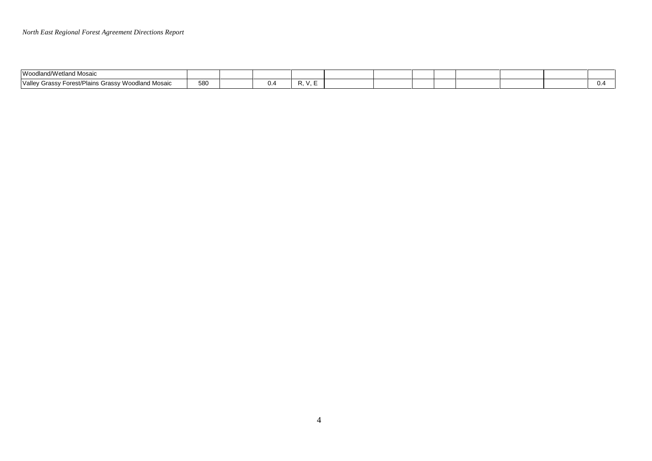| Woodland/<br>n Mosaic                                                                                |     |     |  |  |  |  |  |
|------------------------------------------------------------------------------------------------------|-----|-----|--|--|--|--|--|
| <b>Moodland Mosaic</b><br>$'$ / $\sim$ $\sim$<br>$-$<br>Plains<br>unass<br>wes<br>ν αιισγ<br>: כוחוד | 580 | υ." |  |  |  |  |  |